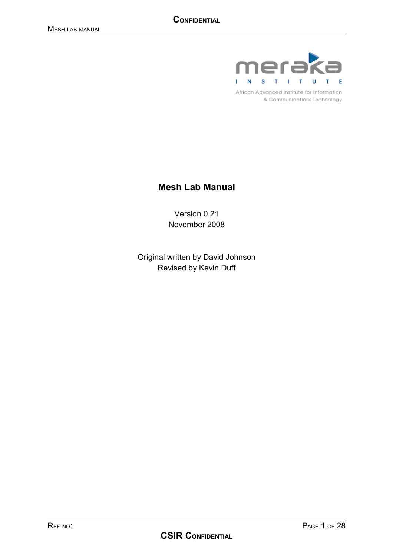

African Advanced Institute for Information & Communications Technology

## **Mesh Lab Manual**

Version 0.21 November 2008

Original written by David Johnson Revised by Kevin Duff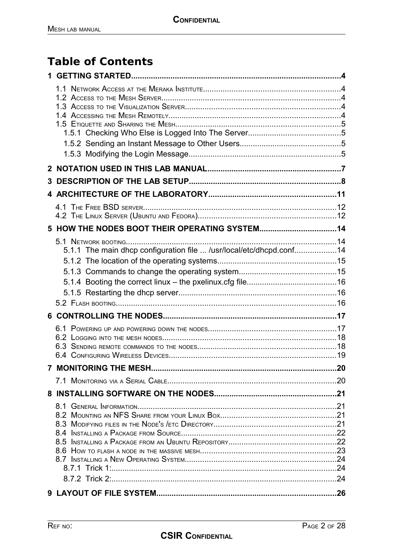# **Table of Contents**

| 3 |                                                                     |  |
|---|---------------------------------------------------------------------|--|
|   |                                                                     |  |
|   |                                                                     |  |
|   |                                                                     |  |
|   |                                                                     |  |
|   |                                                                     |  |
|   | 5.1.1 The main dhcp configuration file  /usr/local/etc/dhcpd.conf14 |  |
|   |                                                                     |  |
|   |                                                                     |  |
|   |                                                                     |  |
|   |                                                                     |  |
|   |                                                                     |  |
|   |                                                                     |  |
|   |                                                                     |  |
|   |                                                                     |  |
|   |                                                                     |  |
|   |                                                                     |  |
|   |                                                                     |  |
|   |                                                                     |  |
|   |                                                                     |  |
|   |                                                                     |  |
|   |                                                                     |  |
|   |                                                                     |  |
|   |                                                                     |  |
|   |                                                                     |  |
|   |                                                                     |  |
|   |                                                                     |  |
|   |                                                                     |  |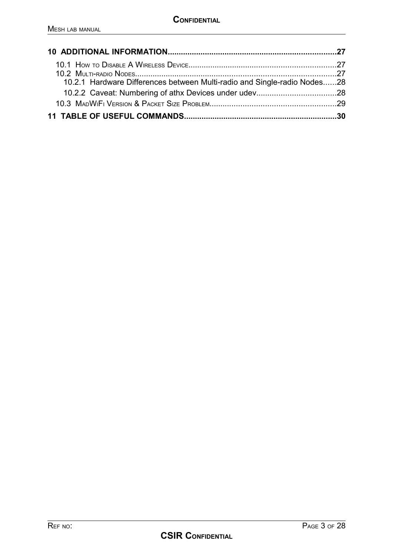| 10.2.1 Hardware Differences between Multi-radio and Single-radio Nodes28 |  |
|--------------------------------------------------------------------------|--|
|                                                                          |  |
|                                                                          |  |
|                                                                          |  |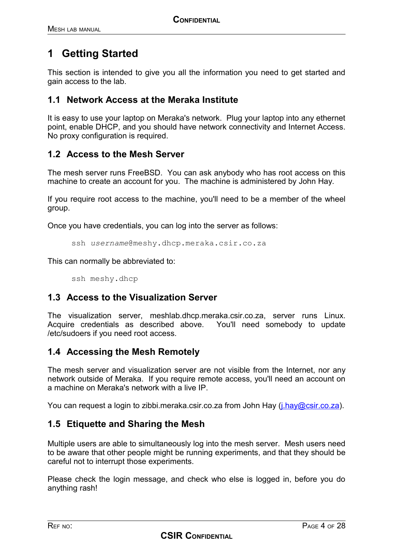## **1 Getting Started**

This section is intended to give you all the information you need to get started and gain access to the lab.

#### **1.1 Network Access at the Meraka Institute**

It is easy to use your laptop on Meraka's network. Plug your laptop into any ethernet point, enable DHCP, and you should have network connectivity and Internet Access. No proxy configuration is required.

### **1.2 Access to the Mesh Server**

The mesh server runs FreeBSD. You can ask anybody who has root access on this machine to create an account for you. The machine is administered by John Hay.

If you require root access to the machine, you'll need to be a member of the wheel group.

Once you have credentials, you can log into the server as follows:

```
ssh username@meshy.dhcp.meraka.csir.co.za
```
This can normally be abbreviated to:

ssh meshy.dhcp

#### **1.3 Access to the Visualization Server**

The visualization server, meshlab.dhcp.meraka.csir.co.za, server runs Linux. Acquire credentials as described above. You'll need somebody to update /etc/sudoers if you need root access.

#### **1.4 Accessing the Mesh Remotely**

The mesh server and visualization server are not visible from the Internet, nor any network outside of Meraka. If you require remote access, you'll need an account on a machine on Meraka's network with a live IP.

You can request a login to zibbi.meraka.csir.co.za from John Hay (*j.hay@csir.co.za*).

### **1.5 Etiquette and Sharing the Mesh**

Multiple users are able to simultaneously log into the mesh server. Mesh users need to be aware that other people might be running experiments, and that they should be careful not to interrupt those experiments.

Please check the login message, and check who else is logged in, before you do anything rash!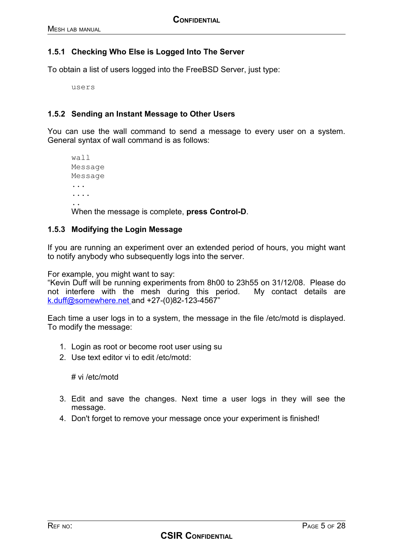#### **1.5.1 Checking Who Else is Logged Into The Server**

To obtain a list of users logged into the FreeBSD Server, just type:

users

#### **1.5.2 Sending an Instant Message to Other Users**

You can use the wall command to send a message to every user on a system. General syntax of wall command is as follows:

wall Message Message ... .... ..

When the message is complete, **press Control-D**.

#### **1.5.3 Modifying the Login Message**

If you are running an experiment over an extended period of hours, you might want to notify anybody who subsequently logs into the server.

For example, you might want to say:

"Kevin Duff will be running experiments from 8h00 to 23h55 on 31/12/08. Please do not interfere with the mesh during this period. My contact details are  [k.duff@somewhere.net](mailto:k.duff@somewhere) and +27-(0)82-123-4567"

Each time a user logs in to a system, the message in the file /etc/motd is displayed. To modify the message:

- 1. Login as root or become root user using su
- 2. Use text editor vi to edit /etc/motd:

# vi /etc/motd

- 3. Edit and save the changes. Next time a user logs in they will see the message.
- 4. Don't forget to remove your message once your experiment is finished!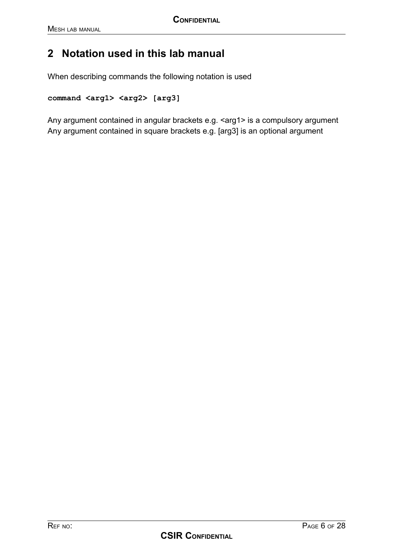## **2 Notation used in this lab manual**

When describing commands the following notation is used

```
command <arg1> <arg2> [arg3]
```
Any argument contained in angular brackets e.g. <arg1> is a compulsory argument Any argument contained in square brackets e.g. [arg3] is an optional argument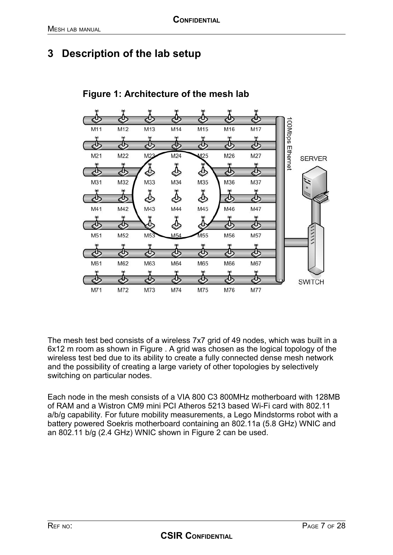## **3 Description of the lab setup**



## <span id="page-6-1"></span>**Figure 1: Architecture of the mesh lab**

<span id="page-6-0"></span>The mesh test bed consists of a wireless 7x7 grid of 49 nodes, which was built in a 6x12 m room as shown in Figure [.](#page-6-0) A grid was chosen as the logical topology of the wireless test bed due to its ability to create a fully connected dense mesh network and the possibility of creating a large variety of other topologies by selectively switching on particular nodes.

Each node in the mesh consists of a VIA 800 C3 800MHz motherboard with 128MB of RAM and a Wistron CM9 mini PCI Atheros 5213 based Wi-Fi card with 802.11 a/b/g capability. For future mobility measurements, a Lego Mindstorms robot with a battery powered Soekris motherboard containing an 802.11a (5.8 GHz) WNIC and an 802.11 b/g (2.4 GHz) WNIC shown in Figure [2](#page-7-0) can be used.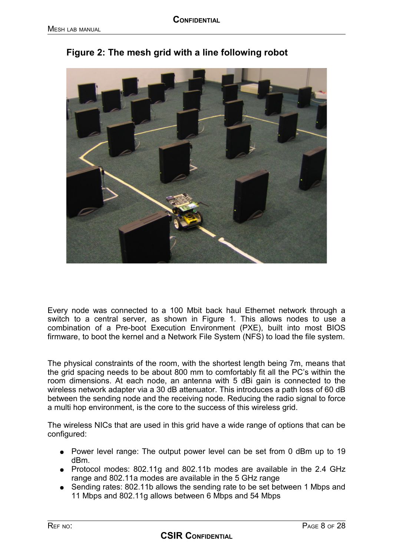

<span id="page-7-0"></span>**Figure 2: The mesh grid with a line following robot**

Every node was connected to a 100 Mbit back haul Ethernet network through a switch to a central server, as shown in Figure [1.](#page-6-1) This allows nodes to use a combination of a Pre-boot Execution Environment (PXE), built into most BIOS firmware, to boot the kernel and a Network File System (NFS) to load the file system.

The physical constraints of the room, with the shortest length being 7m, means that the grid spacing needs to be about 800 mm to comfortably fit all the PC's within the room dimensions. At each node, an antenna with 5 dBi gain is connected to the wireless network adapter via a 30 dB attenuator. This introduces a path loss of 60 dB between the sending node and the receiving node. Reducing the radio signal to force a multi hop environment, is the core to the success of this wireless grid.

The wireless NICs that are used in this grid have a wide range of options that can be configured:

- Power level range: The output power level can be set from 0 dBm up to 19 dBm.
- Protocol modes: 802.11g and 802.11b modes are available in the 2.4 GHz range and 802.11a modes are available in the 5 GHz range
- Sending rates: 802.11b allows the sending rate to be set between 1 Mbps and 11 Mbps and 802.11g allows between 6 Mbps and 54 Mbps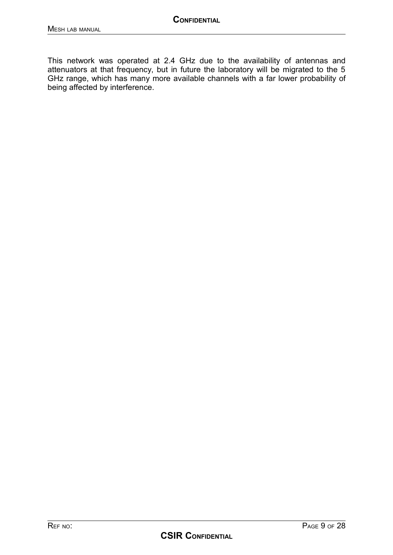This network was operated at 2.4 GHz due to the availability of antennas and attenuators at that frequency, but in future the laboratory will be migrated to the 5 GHz range, which has many more available channels with a far lower probability of being affected by interference.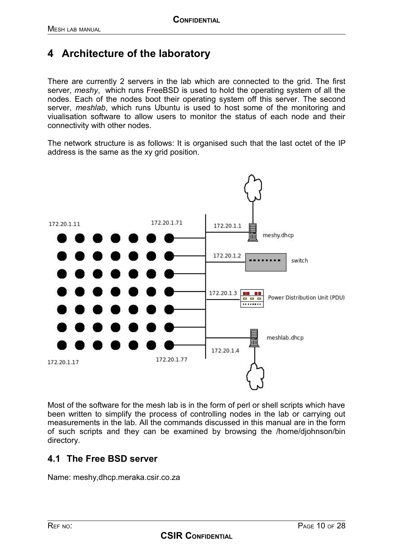## **4 Architecture of the laboratory**

There are currently 2 servers in the lab which are connected to the grid. The first server, *meshy*, which runs FreeBSD is used to hold the operating system of all the nodes. Each of the nodes boot their operating system off this server. The second server, *meshlab*, which runs Ubuntu is used to host some of the monitoring and viualisation software to allow users to monitor the status of each node and their connectivity with other nodes.

The network structure is as follows: It is organised such that the last octet of the IP address is the same as the xy grid position.



Most of the software for the mesh lab is in the form of perl or shell scripts which have been written to simplify the process of controlling nodes in the lab or carrying out measurements in the lab. All the commands discussed in this manual are in the form of such scripts and they can be examined by browsing the /home/djohnson/bin directory.

### **4.1 The Free BSD server**

Name: meshy,dhcp.meraka.csir.co.za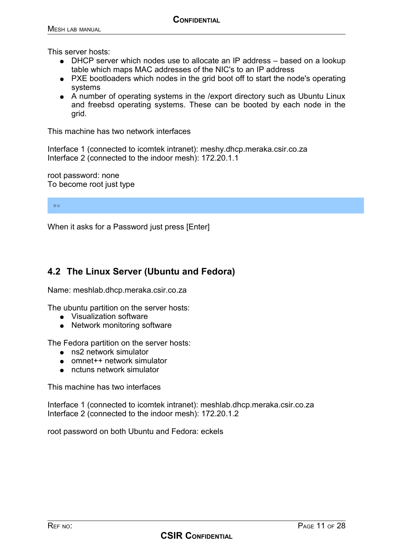This server hosts:

- DHCP server which nodes use to allocate an IP address based on a lookup table which maps MAC addresses of the NIC's to an IP address
- PXE bootloaders which nodes in the grid boot off to start the node's operating systems
- A number of operating systems in the /export directory such as Ubuntu Linux and freebsd operating systems. These can be booted by each node in the grid.

This machine has two network interfaces

Interface 1 (connected to icomtek intranet): meshy.dhcp.meraka.csir.co.za Interface 2 (connected to the indoor mesh): 172.20.1.1

root password: none To become root just type

su

When it asks for a Password just press [Enter]

### **4.2 The Linux Server (Ubuntu and Fedora)**

Name: meshlab.dhcp.meraka.csir.co.za

The ubuntu partition on the server hosts:

- Visualization software
- Network monitoring software

The Fedora partition on the server hosts:

- ns2 network simulator
- omnet++ network simulator
- nctuns network simulator

This machine has two interfaces

Interface 1 (connected to icomtek intranet): meshlab.dhcp.meraka.csir.co.za Interface 2 (connected to the indoor mesh): 172.20.1.2

root password on both Ubuntu and Fedora: eckels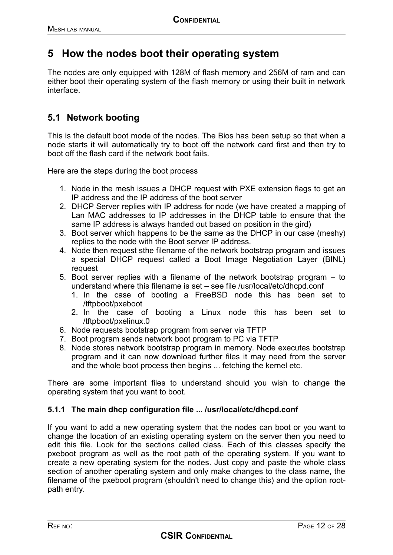## **5 How the nodes boot their operating system**

The nodes are only equipped with 128M of flash memory and 256M of ram and can either boot their operating system of the flash memory or using their built in network interface.

## **5.1 Network booting**

This is the default boot mode of the nodes. The Bios has been setup so that when a node starts it will automatically try to boot off the network card first and then try to boot off the flash card if the network boot fails.

Here are the steps during the boot process

- 1. Node in the mesh issues a DHCP request with PXE extension flags to get an IP address and the IP address of the boot server
- 2. DHCP Server replies with IP address for node (we have created a mapping of Lan MAC addresses to IP addresses in the DHCP table to ensure that the same IP address is always handed out based on position in the gird)
- 3. Boot server which happens to be the same as the DHCP in our case (meshy) replies to the node with the Boot server IP address.
- 4. Node then request sthe filename of the network bootstrap program and issues a special DHCP request called a Boot Image Negotiation Layer (BINL) request
- 5. Boot server replies with a filename of the network bootstrap program to understand where this filename is set – see file /usr/local/etc/dhcpd.conf
	- 1. In the case of booting a FreeBSD node this has been set to /tftpboot/pxeboot
	- 2. In the case of booting a Linux node this has been set to /tftpboot/pxelinux.0
- 6. Node requests bootstrap program from server via TFTP
- 7. Boot program sends network boot program to PC via TFTP
- 8. Node stores network bootstrap program in memory. Node executes bootstrap program and it can now download further files it may need from the server and the whole boot process then begins ... fetching the kernel etc.

There are some important files to understand should you wish to change the operating system that you want to boot.

#### **5.1.1 The main dhcp configuration file ... /usr/local/etc/dhcpd.conf**

If you want to add a new operating system that the nodes can boot or you want to change the location of an existing operating system on the server then you need to edit this file. Look for the sections called class. Each of this classes specify the pxeboot program as well as the root path of the operating system. If you want to create a new operating system for the nodes. Just copy and paste the whole class section of another operating system and only make changes to the class name, the filename of the pxeboot program (shouldn't need to change this) and the option rootpath entry.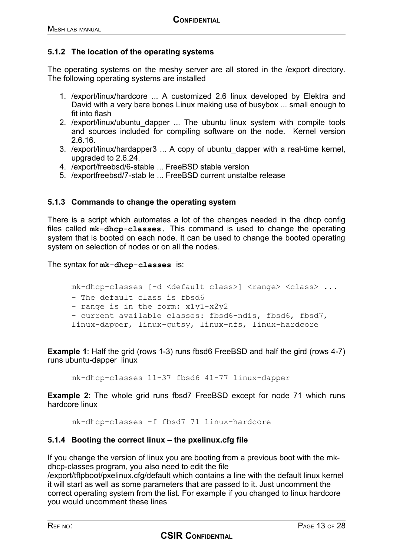#### **5.1.2 The location of the operating systems**

The operating systems on the meshy server are all stored in the /export directory. The following operating systems are installed

- 1. /export/linux/hardcore ... A customized 2.6 linux developed by Elektra and David with a very bare bones Linux making use of busybox ... small enough to fit into flash
- 2. /export/linux/ubuntu dapper ... The ubuntu linux system with compile tools and sources included for compiling software on the node. Kernel version 2.6.16.
- 3. /export/linux/hardapper3 ... A copy of ubuntu\_dapper with a real-time kernel, upgraded to 2.6.24.
- 4. /export/freebsd/6-stable ... FreeBSD stable version
- 5. /exportfreebsd/7-stab le ... FreeBSD current unstalbe release

#### **5.1.3 Commands to change the operating system**

There is a script which automates a lot of the changes needed in the dhcp config files called **mk-dhcp-classes.** This command is used to change the operating system that is booted on each node. It can be used to change the booted operating system on selection of nodes or on all the nodes.

The syntax for **mk-dhcp-classes** is:

```
mk-dhcp-classes [-d <default class>] <range> <class> ...
- The default class is fbsd6
- range is in the form: x1y1-x2y2
- current available classes: fbsd6-ndis, fbsd6, fbsd7,
linux-dapper, linux-gutsy, linux-nfs, linux-hardcore
```
**Example 1:** Half the grid (rows 1-3) runs fbsd6 FreeBSD and half the gird (rows 4-7) runs ubuntu-dapper linux

mk-dhcp-classes 11-37 fbsd6 41-77 linux-dapper

**Example 2:** The whole grid runs fbsd7 FreeBSD except for node 71 which runs hardcore linux

mk-dhcp-classes -f fbsd7 71 linux-hardcore

#### **5.1.4 Booting the correct linux – the pxelinux.cfg file**

If you change the version of linux you are booting from a previous boot with the mkdhcp-classes program, you also need to edit the file

/export/tftpboot/pxelinux.cfg/default which contains a line with the default linux kernel it will start as well as some parameters that are passed to it. Just uncomment the correct operating system from the list. For example if you changed to linux hardcore you would uncomment these lines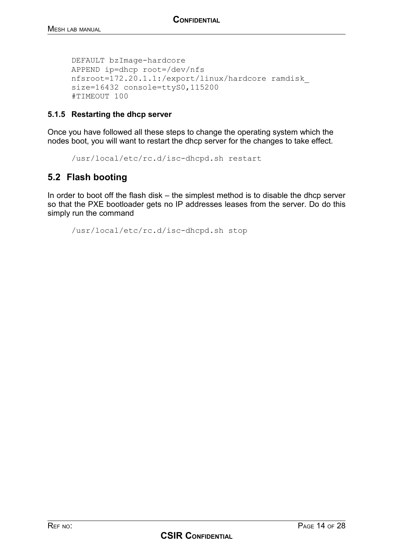DEFAULT bzImage-hardcore APPEND ip=dhcp root=/dev/nfs nfsroot=172.20.1.1:/export/linux/hardcore ramdisk\_ size=16432 console=ttyS0,115200 #TIMEOUT 100

#### **5.1.5 Restarting the dhcp server**

Once you have followed all these steps to change the operating system which the nodes boot, you will want to restart the dhcp server for the changes to take effect.

/usr/local/etc/rc.d/isc-dhcpd.sh restart

## **5.2 Flash booting**

In order to boot off the flash disk – the simplest method is to disable the dhcp server so that the PXE bootloader gets no IP addresses leases from the server. Do do this simply run the command

/usr/local/etc/rc.d/isc-dhcpd.sh stop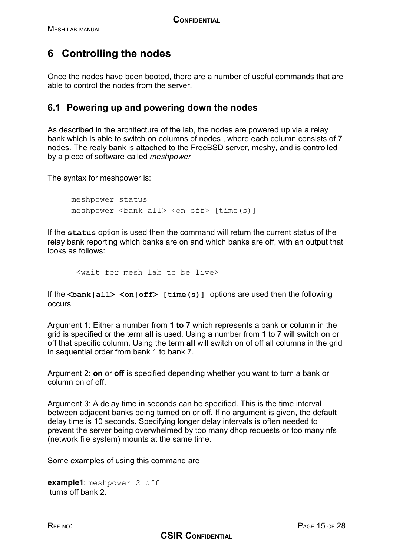## **6 Controlling the nodes**

Once the nodes have been booted, there are a number of useful commands that are able to control the nodes from the server.

#### **6.1 Powering up and powering down the nodes**

As described in the architecture of the lab, the nodes are powered up via a relay bank which is able to switch on columns of nodes , where each column consists of 7 nodes. The realy bank is attached to the FreeBSD server, meshy, and is controlled by a piece of software called *meshpower*

The syntax for meshpower is:

```
meshpower status 
meshpower <br/>bank|all> <on|off> [time(s)]
```
If the **status** option is used then the command will return the current status of the relay bank reporting which banks are on and which banks are off, with an output that looks as follows:

<wait for mesh lab to be live>

If the <bank|all> <on|off> [time(s)] options are used then the following occurs

Argument 1: Either a number from **1 to 7** which represents a bank or column in the grid is specified or the term **all** is used. Using a number from 1 to 7 will switch on or off that specific column. Using the term **all** will switch on of off all columns in the grid in sequential order from bank 1 to bank 7.

Argument 2: **on** or **off** is specified depending whether you want to turn a bank or column on of off.

Argument 3: A delay time in seconds can be specified. This is the time interval between adjacent banks being turned on or off. If no argument is given, the default delay time is 10 seconds. Specifying longer delay intervals is often needed to prevent the server being overwhelmed by too many dhcp requests or too many nfs (network file system) mounts at the same time.

Some examples of using this command are

**example1**: meshpower 2 off turns off bank 2.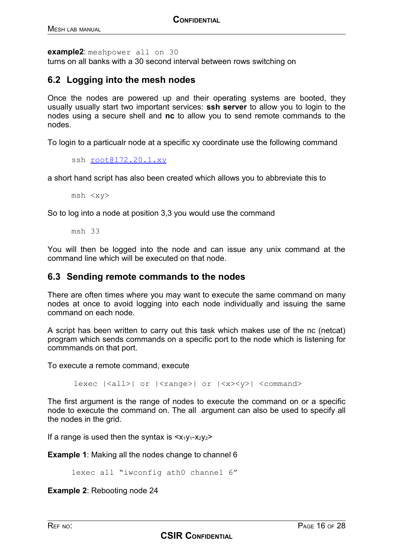**example2**: meshpower all on 30 turns on all banks with a 30 second interval between rows switching on

### **6.2 Logging into the mesh nodes**

Once the nodes are powered up and their operating systems are booted, they usually usually start two important services: **ssh server** to allow you to login to the nodes using a secure shell and **nc** to allow you to send remote commands to the nodes.

To login to a particualr node at a specific xy coordinate use the following command

ssh [root@172.20.1.xy](mailto:root@172.20.1.xy)

a short hand script has also been created which allows you to abbreviate this to

msh <xy>

So to log into a node at position 3,3 you would use the command

msh 33

You will then be logged into the node and can issue any unix command at the command line which will be executed on that node.

#### **6.3 Sending remote commands to the nodes**

There are often times where you may want to execute the same command on many nodes at once to avoid logging into each node individually and issuing the same command on each node.

A script has been written to carry out this task which makes use of the nc (netcat) program which sends commands on a specific port to the node which is listening for commmands on that port.

To execute a remote command, execute

lexec  $|\langle \text{all}\rangle|$  or  $|\langle \text{range}\rangle|$  or  $|\langle \text{xx}\rangle| \langle \text{command}\rangle$ 

The first argument is the range of nodes to execute the command on or a specific node to execute the command on. The all argument can also be used to specify all the nodes in the grid.

If a range is used then the syntax is  $\langle x_1y_1-x_2y_2\rangle$ 

**Example 1:** Making all the nodes change to channel 6

lexec all "iwconfig ath0 channel 6"

**Example 2**: Rebooting node 24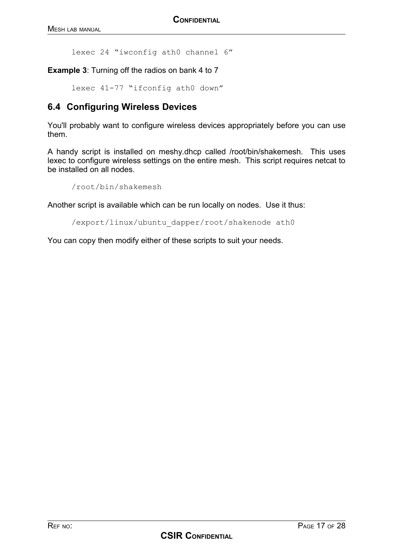lexec 24 "iwconfig ath0 channel 6"

**Example 3**: Turning off the radios on bank 4 to 7

lexec 41-77 "ifconfig ath0 down"

## **6.4 Configuring Wireless Devices**

You'll probably want to configure wireless devices appropriately before you can use them.

A handy script is installed on meshy.dhcp called /root/bin/shakemesh. This uses lexec to configure wireless settings on the entire mesh. This script requires netcat to be installed on all nodes.

```
/root/bin/shakemesh
```
Another script is available which can be run locally on nodes. Use it thus:

/export/linux/ubuntu\_dapper/root/shakenode ath0

You can copy then modify either of these scripts to suit your needs.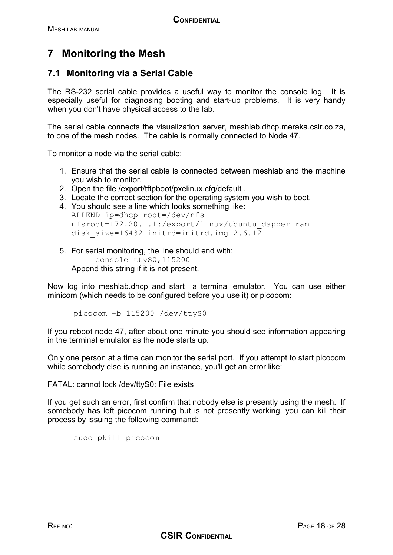## **7 Monitoring the Mesh**

### **7.1 Monitoring via a Serial Cable**

The RS-232 serial cable provides a useful way to monitor the console log. It is especially useful for diagnosing booting and start-up problems. It is very handy when you don't have physical access to the lab.

The serial cable connects the visualization server, meshlab.dhcp.meraka.csir.co.za, to one of the mesh nodes. The cable is normally connected to Node 47.

To monitor a node via the serial cable:

- 1. Ensure that the serial cable is connected between meshlab and the machine you wish to monitor.
- 2. Open the file /export/tftpboot/pxelinux.cfg/default .
- 3. Locate the correct section for the operating system you wish to boot.
- 4. You should see a line which looks something like: APPEND ip=dhcp root=/dev/nfs nfsroot=172.20.1.1:/export/linux/ubuntu\_dapper ram disk size=16432 initrd=initrd.img-2.6.12
- 5. For serial monitoring, the line should end with: console=ttyS0,115200 Append this string if it is not present.

Now log into meshlab.dhcp and start a terminal emulator. You can use either minicom (which needs to be configured before you use it) or picocom:

picocom -b 115200 /dev/ttyS0

If you reboot node 47, after about one minute you should see information appearing in the terminal emulator as the node starts up.

Only one person at a time can monitor the serial port. If you attempt to start picocom while somebody else is running an instance, you'll get an error like:

FATAL: cannot lock /dev/ttyS0: File exists

If you get such an error, first confirm that nobody else is presently using the mesh. If somebody has left picocom running but is not presently working, you can kill their process by issuing the following command:

sudo pkill picocom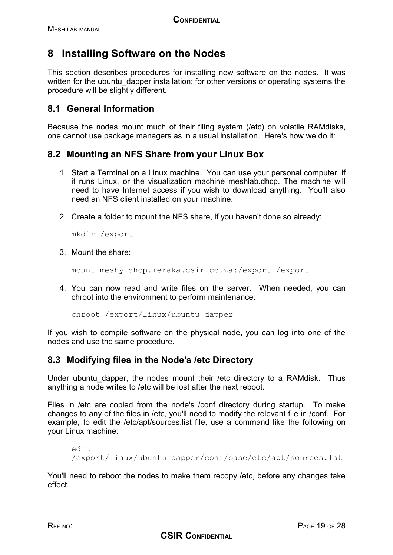## **8 Installing Software on the Nodes**

This section describes procedures for installing new software on the nodes. It was written for the ubuntu dapper installation; for other versions or operating systems the procedure will be slightly different.

### **8.1 General Information**

Because the nodes mount much of their filing system (/etc) on volatile RAMdisks, one cannot use package managers as in a usual installation. Here's how we do it:

#### **8.2 Mounting an NFS Share from your Linux Box**

- 1. Start a Terminal on a Linux machine. You can use your personal computer, if it runs Linux, or the visualization machine meshlab.dhcp. The machine will need to have Internet access if you wish to download anything. You'll also need an NFS client installed on your machine.
- 2. Create a folder to mount the NFS share, if you haven't done so already:

mkdir /export

3. Mount the share:

mount meshy.dhcp.meraka.csir.co.za:/export /export

4. You can now read and write files on the server. When needed, you can chroot into the environment to perform maintenance:

chroot /export/linux/ubuntu\_dapper

If you wish to compile software on the physical node, you can log into one of the nodes and use the same procedure.

#### **8.3 Modifying files in the Node's /etc Directory**

Under ubuntu dapper, the nodes mount their /etc directory to a RAMdisk. Thus anything a node writes to /etc will be lost after the next reboot.

Files in /etc are copied from the node's /conf directory during startup. To make changes to any of the files in /etc, you'll need to modify the relevant file in /conf. For example, to edit the /etc/apt/sources.list file, use a command like the following on your Linux machine:

```
edit
/export/linux/ubuntu_dapper/conf/base/etc/apt/sources.lst
```
You'll need to reboot the nodes to make them recopy /etc, before any changes take effect.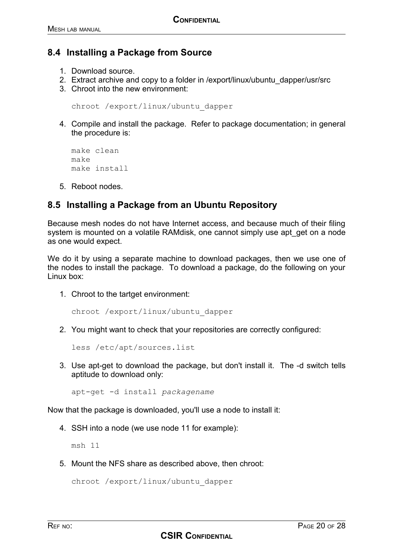### **8.4 Installing a Package from Source**

- 1. Download source.
- 2. Extract archive and copy to a folder in /export/linux/ubuntu\_dapper/usr/src
- 3. Chroot into the new environment:

```
chroot /export/linux/ubuntu_dapper
```
4. Compile and install the package. Refer to package documentation; in general the procedure is:

```
make clean
make
make install
```
5. Reboot nodes.

### **8.5 Installing a Package from an Ubuntu Repository**

Because mesh nodes do not have Internet access, and because much of their filing system is mounted on a volatile RAMdisk, one cannot simply use apt get on a node as one would expect.

We do it by using a separate machine to download packages, then we use one of the nodes to install the package. To download a package, do the following on your Linux box:

1. Chroot to the tartget environment:

```
chroot /export/linux/ubuntu_dapper
```
2. You might want to check that your repositories are correctly configured:

less /etc/apt/sources.list

3. Use apt-get to download the package, but don't install it. The -d switch tells aptitude to download only:

**CSIR CONFIDENTIAL**

apt-get -d install *packagename*

Now that the package is downloaded, you'll use a node to install it:

4. SSH into a node (we use node 11 for example):

msh 11

5. Mount the NFS share as described above, then chroot:

chroot /export/linux/ubuntu\_dapper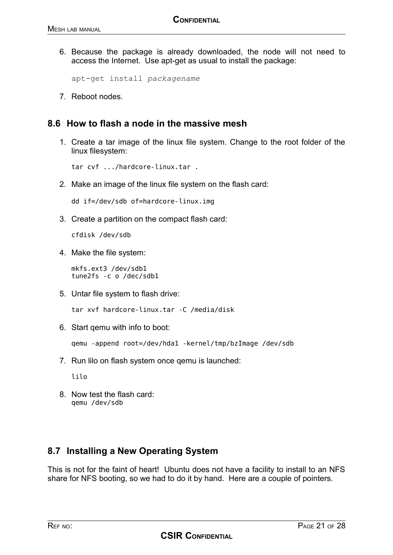6. Because the package is already downloaded, the node will not need to access the Internet. Use apt-get as usual to install the package:

apt-get install *packagename*

7. Reboot nodes.

#### **8.6 How to flash a node in the massive mesh**

1. Create a tar image of the linux file system. Change to the root folder of the linux filesystem:

tar cvf .../hardcore-linux.tar .

2. Make an image of the linux file system on the flash card:

dd if=/dev/sdb of=hardcore-linux.img

3. Create a partition on the compact flash card:

cfdisk /dev/sdb

4. Make the file system:

mkfs.ext3 /dev/sdb1 tune2fs -c o /dec/sdb1

5. Untar file system to flash drive:

tar xvf hardcore-linux.tar -C /media/disk

6. Start qemu with info to boot:

qemu -append root=/dev/hda1 -kernel/tmp/bzImage /dev/sdb

7. Run lilo on flash system once qemu is launched:

lilo

8. Now test the flash card: qemu /dev/sdb

### **8.7 Installing a New Operating System**

This is not for the faint of heart! Ubuntu does not have a facility to install to an NFS share for NFS booting, so we had to do it by hand. Here are a couple of pointers.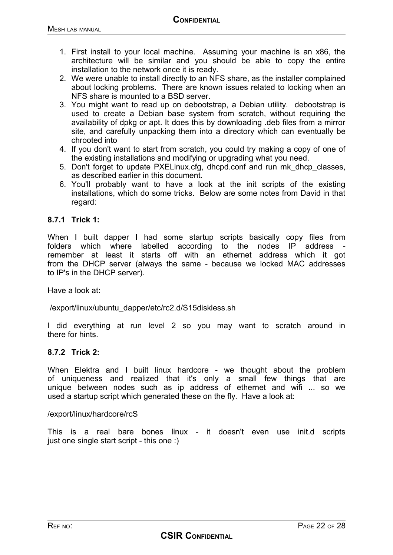- 1. First install to your local machine. Assuming your machine is an x86, the architecture will be similar and you should be able to copy the entire installation to the network once it is ready.
- 2. We were unable to install directly to an NFS share, as the installer complained about locking problems. There are known issues related to locking when an NFS share is mounted to a BSD server.
- 3. You might want to read up on debootstrap, a Debian utility. debootstrap is used to create a Debian base system from scratch, without requiring the availability of dpkg or apt. It does this by downloading .deb files from a mirror site, and carefully unpacking them into a directory which can eventually be chrooted into
- 4. If you don't want to start from scratch, you could try making a copy of one of the existing installations and modifying or upgrading what you need.
- 5. Don't forget to update PXELinux.cfg, dhcpd.conf and run mk\_dhcp\_classes, as described earlier in this document.
- 6. You'll probably want to have a look at the init scripts of the existing installations, which do some tricks. Below are some notes from David in that regard:

#### **8.7.1 Trick 1:**

When I built dapper I had some startup scripts basically copy files from folders which where labelled according to the nodes IP address remember at least it starts off with an ethernet address which it got from the DHCP server (always the same - because we locked MAC addresses to IP's in the DHCP server).

Have a look at:

/export/linux/ubuntu\_dapper/etc/rc2.d/S15diskless.sh

I did everything at run level 2 so you may want to scratch around in there for hints.

#### **8.7.2 Trick 2:**

When Elektra and I built linux hardcore - we thought about the problem of uniqueness and realized that it's only a small few things that are unique between nodes such as ip address of ethernet and wifi ... so we used a startup script which generated these on the fly. Have a look at:

#### /export/linux/hardcore/rcS

This is a real bare bones linux - it doesn't even use init.d scripts just one single start script - this one :)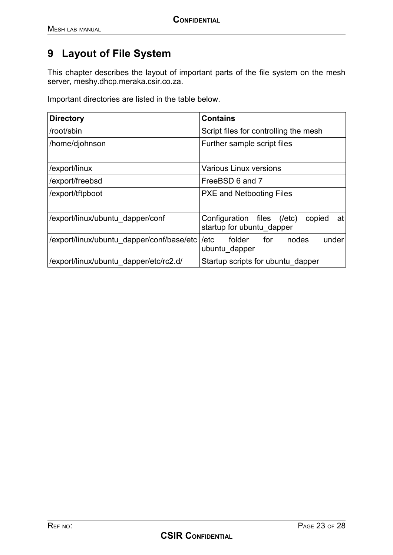# **9 Layout of File System**

This chapter describes the layout of important parts of the file system on the mesh server, meshy.dhcp.meraka.csir.co.za.

Important directories are listed in the table below.

| <b>Directory</b>                          | <b>Contains</b>                                                            |  |
|-------------------------------------------|----------------------------------------------------------------------------|--|
| /root/sbin                                | Script files for controlling the mesh                                      |  |
| /home/djohnson                            | Further sample script files                                                |  |
|                                           |                                                                            |  |
| /export/linux                             | <b>Various Linux versions</b>                                              |  |
| /export/freebsd                           | FreeBSD 6 and 7                                                            |  |
| /export/tftpboot                          | <b>PXE and Netbooting Files</b>                                            |  |
|                                           |                                                                            |  |
| /export/linux/ubuntu dapper/conf          | Configuration files<br>copied<br>(letc)<br>at<br>startup for ubuntu dapper |  |
| /export/linux/ubuntu dapper/conf/base/etc | under<br>folder<br>for<br>nodes<br>/etc<br>ubuntu dapper                   |  |
| /export/linux/ubuntu dapper/etc/rc2.d/    | Startup scripts for ubuntu dapper                                          |  |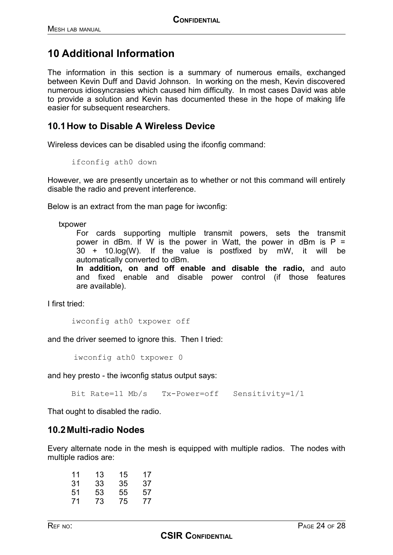## **10 Additional Information**

The information in this section is a summary of numerous emails, exchanged between Kevin Duff and David Johnson. In working on the mesh, Kevin discovered numerous idiosyncrasies which caused him difficulty. In most cases David was able to provide a solution and Kevin has documented these in the hope of making life easier for subsequent researchers.

#### **10.1How to Disable A Wireless Device**

Wireless devices can be disabled using the ifconfig command:

ifconfig ath0 down

However, we are presently uncertain as to whether or not this command will entirely disable the radio and prevent interference.

Below is an extract from the man page for iwconfig:

txpower

For cards supporting multiple transmit powers, sets the transmit power in dBm. If W is the power in Watt, the power in dBm is  $P =$ 30 + 10.log(W). If the value is postfixed by mW, it will be automatically converted to dBm.

**In addition, on and off enable and disable the radio,** and auto and fixed enable and disable power control (if those features are available).

I first tried:

iwconfig ath0 txpower off

and the driver seemed to ignore this. Then I tried:

iwconfig ath0 txpower 0

and hey presto - the iwconfig status output says:

Bit Rate=11 Mb/s Tx-Power=off Sensitivity=1/1

That ought to disabled the radio.

#### **10.2Multi-radio Nodes**

Every alternate node in the mesh is equipped with multiple radios. The nodes with multiple radios are:

| 11 | 13 | 15 | 17 |
|----|----|----|----|
| 31 | 33 | 35 | 37 |
| 51 | 53 | 55 | 57 |
| 71 | 73 | 75 | 77 |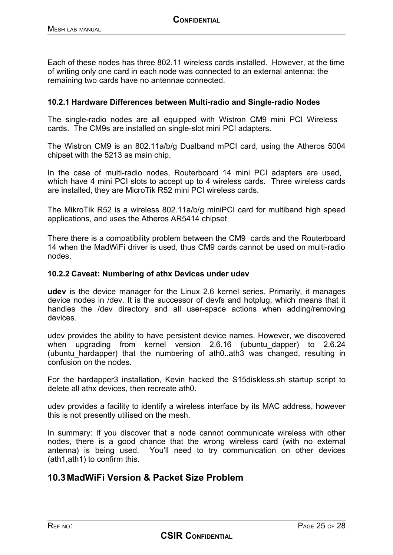Each of these nodes has three 802.11 wireless cards installed. However, at the time of writing only one card in each node was connected to an external antenna; the remaining two cards have no antennae connected.

#### **10.2.1 Hardware Differences between Multi-radio and Single-radio Nodes**

The single-radio nodes are all equipped with Wistron CM9 mini PCI Wireless cards. The CM9s are installed on single-slot mini PCI adapters.

The Wistron CM9 is an 802.11a/b/g Dualband mPCI card, using the Atheros 5004 chipset with the 5213 as main chip.

In the case of multi-radio nodes, Routerboard 14 mini PCI adapters are used, which have 4 mini PCI slots to accept up to 4 wireless cards. Three wireless cards are installed, they are MicroTik R52 mini PCI wireless cards.

The MikroTik R52 is a wireless 802.11a/b/g miniPCI card for multiband high speed applications, and uses the Atheros AR5414 chipset

There there is a compatibility problem between the CM9 cards and the Routerboard 14 when the MadWiFi driver is used, thus CM9 cards cannot be used on multi-radio nodes.

#### **10.2.2 Caveat: Numbering of athx Devices under udev**

**udev** is the device manager for the Linux 2.6 kernel series. Primarily, it manages device nodes in /dev. It is the successor of devfs and hotplug, which means that it handles the /dev directory and all user-space actions when adding/removing devices.

udev provides the ability to have persistent device names. However, we discovered when upgrading from kernel version 2.6.16 (ubuntu-dapper) to 2.6.24 (ubuntu hardapper) that the numbering of ath0..ath3 was changed, resulting in confusion on the nodes.

For the hardapper3 installation, Kevin hacked the S15diskless.sh startup script to delete all athx devices, then recreate ath0.

udev provides a facility to identify a wireless interface by its MAC address, however this is not presently utilised on the mesh.

In summary: If you discover that a node cannot communicate wireless with other nodes, there is a good chance that the wrong wireless card (with no external antenna) is being used. You'll need to try communication on other devices (ath1,ath1) to confirm this.

#### **10.3MadWiFi Version & Packet Size Problem**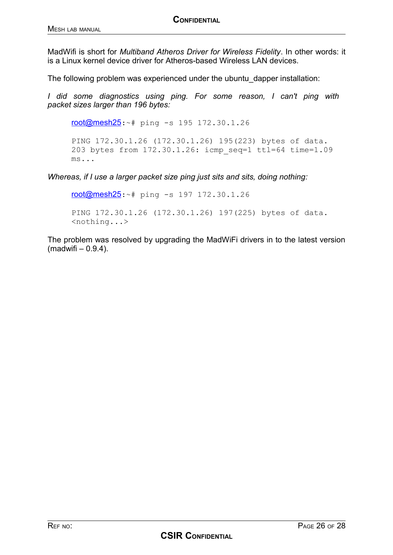MadWifi is short for *Multiband Atheros Driver for Wireless Fidelity*. In other words: it is a Linux kernel device driver for Atheros-based Wireless LAN devices.

The following problem was experienced under the ubuntu\_dapper installation:

*I did some diagnostics using ping. For some reason, I can't ping with packet sizes larger than 196 bytes:*

[root@mesh25](https://mail.ru.ac.za/horde/imp/message.php?mailbox=**search_9amt2n0882048ko4ww8o8&index=5216&thismailbox=INBOX#):~# ping -s 195 172.30.1.26

PING 172.30.1.26 (172.30.1.26) 195(223) bytes of data. 203 bytes from 172.30.1.26: icmp\_seq=1 ttl=64 time=1.09 ms...

*Whereas, if I use a larger packet size ping just sits and sits, doing nothing:*

[root@mesh25](https://mail.ru.ac.za/horde/imp/message.php?mailbox=**search_9amt2n0882048ko4ww8o8&index=5216&thismailbox=INBOX#):~# ping -s 197 172.30.1.26

PING 172.30.1.26 (172.30.1.26) 197(225) bytes of data. <nothing...>

The problem was resolved by upgrading the MadWiFi drivers in to the latest version  $(madwifi - 0.9.4)$ .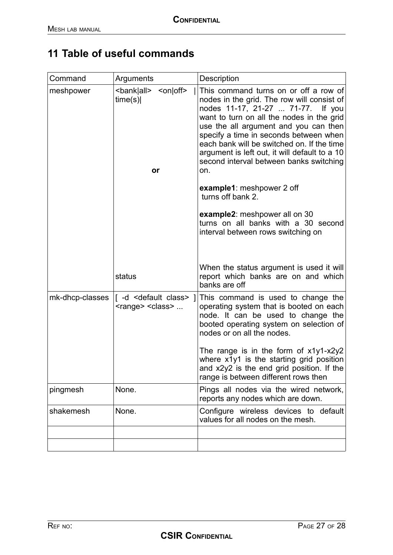# **11 Table of useful commands**

| Command         | Arguments                                                                       | Description                                                                                                                                                                                                                                                                                                                                                                                                                                                    |
|-----------------|---------------------------------------------------------------------------------|----------------------------------------------------------------------------------------------------------------------------------------------------------------------------------------------------------------------------------------------------------------------------------------------------------------------------------------------------------------------------------------------------------------------------------------------------------------|
| meshpower       | $\leq$ on $\vert$ off $\geq$<br><bank all><br/>time(s)<br/><b>or</b></bank all> | This command turns on or off a row of<br>nodes in the grid. The row will consist of<br>nodes 11-17, 21-27  71-77.<br>If you<br>want to turn on all the nodes in the grid<br>use the all argument and you can then<br>specify a time in seconds between when<br>each bank will be switched on. If the time<br>argument is left out, it will default to a 10<br>second interval between banks switching<br>on.<br>example1: meshpower 2 off<br>turns off bank 2. |
|                 |                                                                                 | example2: meshpower all on 30<br>turns on all banks with a 30 second<br>interval between rows switching on                                                                                                                                                                                                                                                                                                                                                     |
|                 | status                                                                          | When the status argument is used it will<br>report which banks are on and which<br>banks are off                                                                                                                                                                                                                                                                                                                                                               |
| mk-dhcp-classes | [-d <default class=""> ]<br/><range> <class> </class></range></default>         | This command is used to change the<br>operating system that is booted on each<br>node. It can be used to change the<br>booted operating system on selection of<br>nodes or on all the nodes.<br>The range is in the form of $x1y1-x2y2$<br>where x1y1 is the starting grid position                                                                                                                                                                            |
|                 |                                                                                 | and $x2y2$ is the end grid position. If the<br>range is between different rows then                                                                                                                                                                                                                                                                                                                                                                            |
| pingmesh        | None.                                                                           | Pings all nodes via the wired network,<br>reports any nodes which are down.                                                                                                                                                                                                                                                                                                                                                                                    |
| shakemesh       | None.                                                                           | Configure wireless devices to default<br>values for all nodes on the mesh.                                                                                                                                                                                                                                                                                                                                                                                     |
|                 |                                                                                 |                                                                                                                                                                                                                                                                                                                                                                                                                                                                |
|                 |                                                                                 |                                                                                                                                                                                                                                                                                                                                                                                                                                                                |